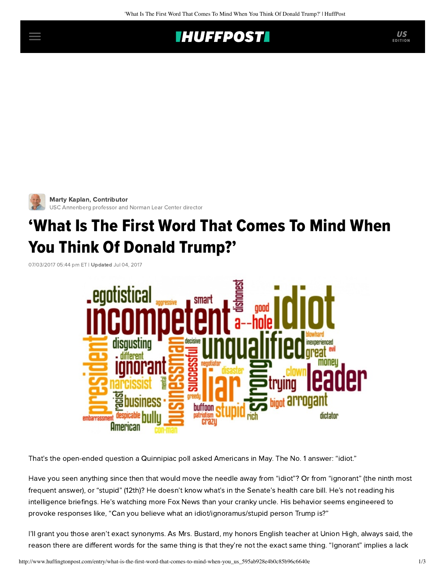## **INUFFPOSTI** US



## 'What Is The First Word That Comes To Mind When You Think Of Donald Trump?'

07/03/2017 05:44 pm ET | Updated Jul 04, 2017



That's the open-ended question a [Quinnipiac poll](https://poll.qu.edu/national/release-detail?ReleaseID=2456) asked Americans in May. The No. 1 answer: "idiot."

Have you seen anything since then that would move the needle away from "idiot"? Or from "ignorant" (the ninth most frequent answer), or "stupid" (12th)? He [doesn't know](https://www.nytimes.com/2017/06/27/us/health-care-bill-trump-pence.html?_r=0) what's in the Senate's health care bill. He's [not reading](http://www.newsweek.com/donald-trump-does-not-read-white-house-top-secret-intelligence-briefings-big-617515) his intelligence briefings. He's [watching](https://www.washingtonpost.com/politics/everyone-tunes-in-inside-trumps-obsession-with-cable-tv/2017/04/23/3c52bd6c-25e3-11e7-a1b3-faff0034e2de_story.html?utm_term=.daf8c66bb235) more Fox News than your cranky uncle. His behavior seems engineered to provoke responses like, "Can you believe what an idiot/ignoramus/stupid person Trump is?"

I'll grant you those aren't exact synonyms. As Mrs. Bustard, my honors English teacher at Union High, always said, the reason there are different words for the same thing is that they're not the exact same thing. "Ignorant" implies a lack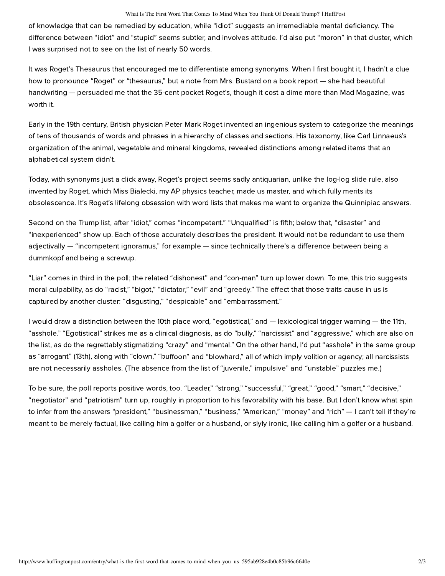## 'What Is The First Word That Comes To Mind When You Think Of Donald Trump?' | HuffPost

of knowledge that can be remedied by education, while "idiot" suggests an irremediable mental deficiency. The difference between "idiot" and "stupid" seems subtler, and involves attitude. I'd also put "moron" in that cluster, which I was surprised not to see on the list of nearly 50 words.

It was [Roget's Thesaurus](http://www.gutenberg.org/files/10681/10681-h-body-pos.htm) that encouraged me to differentiate among synonyms. When I first bought it, I hadn't a clue how to pronounce "Roget" or "thesaurus," but a note from Mrs. Bustard on a book report — she had beautiful handwriting — persuaded me that the 35-cent [pocket](https://images-na.ssl-images-amazon.com/images/I/51b9QilPanL._SX373_BO1,204,203,200_.jpg) Roget's, though it cost a dime more than Mad Magazine, was worth it.

Early in the 19th century, British physician Peter Mark Roget invented an ingenious system to categorize the meanings of tens of thousands of words and phrases in a hierarchy of classes and sections. His taxonomy, like Carl Linnaeus's organization of the animal, vegetable and mineral kingdoms, revealed distinctions among related items that an alphabetical system didn't.

Today, with synonyms just a click away, Roget's project seems sadly antiquarian, unlike the log-log slide rule, also invented by Roget, which Miss Bialecki, my AP physics teacher, made us master, and which fully merits its obsolescence. It's Roget's lifelong obsession with word lists that makes me want to organize the Quinnipiac answers.

Second on the Trump list, after "idiot," comes "incompetent." "Unqualified" is fifth; below that, "disaster" and "inexperienced" show up. Each of those accurately describes the president. It would not be redundant to use them adjectivally — "incompetent ignoramus," for example — since technically there's a difference between being a dummkopf and being a screwup.

"Liar" comes in third in the poll; the related "dishonest" and "con-man" turn up lower down. To me, this trio suggests moral culpability, as do "racist," "bigot," "dictator," "evil" and "greedy." The effect that those traits cause in us is captured by another cluster: "disgusting," "despicable" and "embarrassment."

I would draw a distinction between the 10th place word, "egotistical," and — lexicological trigger warning — the 11th, "asshole." "Egotistical" strikes me as a clinical diagnosis, as do "bully," "narcissist" and "aggressive," which are also on the list, as do the regrettably stigmatizing "crazy" and "mental." On the other hand, I'd put "asshole" in the same group as "arrogant" (13th), along with "clown," "buffoon" and "blowhard," all of which imply volition or agency; all narcissists are not necessarily assholes. (The absence from the list of "juvenile," impulsive" and "unstable" puzzles me.)

To be sure, the poll reports positive words, too. "Leader," "strong," "successful," "great," "good," "smart," "decisive," "negotiator" and "patriotism" turn up, roughly in proportion to his favorability with his base. But I don't know what spin to infer from the answers "president," "businessman," "business," "American," "money" and "rich" — I can't tell if they're meant to be merely factual, like calling him a golfer or a husband, or slyly ironic, like calling him a golfer or a husband.